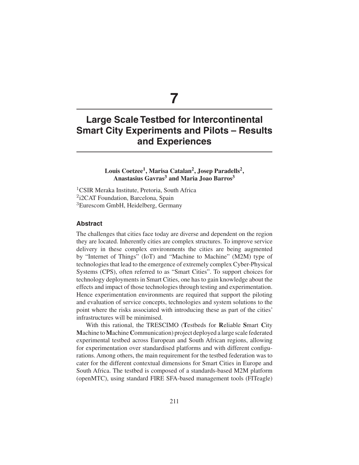# **7**

## **Large Scale Testbed for Intercontinental Smart City Experiments and Pilots – Results and Experiences**

## Louis Coetzee<sup>1</sup>, Marisa Catalan<sup>2</sup>, Josep Paradells<sup>2</sup>, **Anastasius Gavras<sup>3</sup> and Maria Joao Barros<sup>3</sup>**

<sup>1</sup>CSIR Meraka Institute, Pretoria, South Africa <sup>2</sup>i2CAT Foundation, Barcelona, Spain <sup>3</sup>Eurescom GmbH, Heidelberg, Germany

## **Abstract**

The challenges that cities face today are diverse and dependent on the region they are located. Inherently cities are complex structures. To improve service delivery in these complex environments the cities are being augmented by "Internet of Things" (IoT) and "Machine to Machine" (M2M) type of technologies that lead to the emergence of extremely complex Cyber-Physical Systems (CPS), often referred to as "Smart Cities". To support choices for technology deployments in Smart Cities, one has to gain knowledge about the effects and impact of those technologies through testing and experimentation. Hence experimentation environments are required that support the piloting and evaluation of service concepts, technologies and system solutions to the point where the risks associated with introducing these as part of the cities' infrastructures will be minimised.

With this rational, the TRESCIMO (**T**estbeds for **R**eliable **S**mart **C**ity **M**achine to**M**achine **C**ommunication) project deployed a large scale federated experimental testbed across European and South African regions, allowing for experimentation over standardised platforms and with different configurations. Among others, the main requirement for the testbed federation was to cater for the different contextual dimensions for Smart Cities in Europe and South Africa. The testbed is composed of a standards-based M2M platform (openMTC), using standard FIRE SFA-based management tools (FITeagle)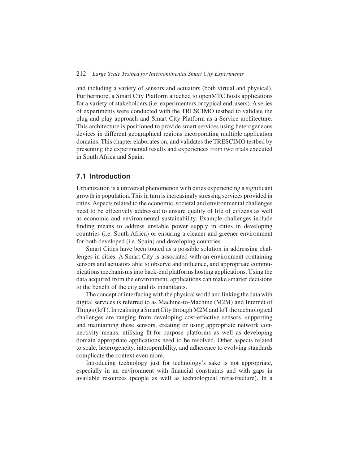and including a variety of sensors and actuators (both virtual and physical). Furthermore, a Smart City Platform attached to openMTC hosts applications for a variety of stakeholders (i.e. experimenters or typical end-users). A series of experiments were conducted with the TRESCIMO testbed to validate the plug-and-play approach and Smart City Platform-as-a-Service architecture. This architecture is positioned to provide smart services using heterogeneous devices in different geographical regions incorporating multiple application domains. This chapter elaborates on, and validates the TRESCIMO testbed by presenting the experimental results and experiences from two trials executed in South Africa and Spain.

## **7.1 Introduction**

Urbanization is a universal phenomenon with cities experiencing a significant growth in population. This in turn is increasingly stressing services provided in cities. Aspects related to the economic, societal and environmental challenges need to be effectively addressed to ensure quality of life of citizens as well as economic and environmental sustainability. Example challenges include finding means to address unstable power supply in cities in developing countries (i.e. South Africa) or ensuring a cleaner and greener environment for both developed (i.e. Spain) and developing countries.

Smart Cities have been touted as a possible solution in addressing challenges in cities. A Smart City is associated with an environment containing sensors and actuators able to observe and influence, and appropriate communications mechanisms into back-end platforms hosting applications. Using the data acquired from the environment, applications can make smarter decisions to the benefit of the city and its inhabitants.

The concept of interfacing with the physical world and linking the data with digital services is referred to as Machine-to-Machine (M2M) and Internet of Things (IoT). In realising a Smart City through M2M and IoT the technological challenges are ranging from developing cost-effective sensors, supporting and maintaining these sensors, creating or using appropriate network connectivity means, utilising fit-for-purpose platforms as well as developing domain appropriate applications need to be resolved. Other aspects related to scale, heterogeneity, interoperability, and adherence to evolving standards complicate the context even more.

Introducing technology just for technology's sake is not appropriate, especially in an environment with financial constraints and with gaps in available resources (people as well as technological infrastructure). In a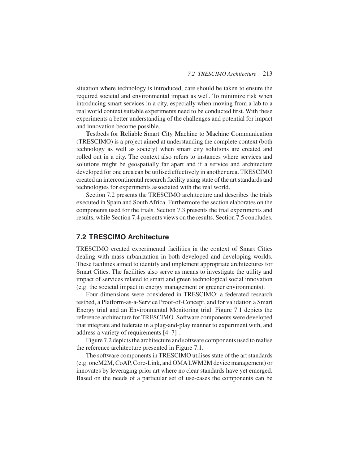situation where technology is introduced, care should be taken to ensure the required societal and environmental impact as well. To minimize risk when introducing smart services in a city, especially when moving from a lab to a real world context suitable experiments need to be conducted first. With these experiments a better understanding of the challenges and potential for impact and innovation become possible.

**T**estbeds for **R**eliable **S**mart **C**ity **M**achine to **M**achine **C**ommunication (TRESCIMO) is a project aimed at understanding the complete context (both technology as well as society) when smart city solutions are created and rolled out in a city. The context also refers to instances where services and solutions might be geospatially far apart and if a service and architecture developed for one area can be utilised effectively in another area. TRESCIMO created an intercontinental research facility using state of the art standards and technologies for experiments associated with the real world.

Section 7.2 presents the TRESCIMO architecture and describes the trials executed in Spain and South Africa. Furthermore the section elaborates on the components used for the trials. Section 7.3 presents the trial experiments and results, while Section 7.4 presents views on the results. Section 7.5 concludes.

## **7.2 TRESCIMO Architecture**

TRESCIMO created experimental facilities in the context of Smart Cities dealing with mass urbanization in both developed and developing worlds. These facilities aimed to identify and implement appropriate architectures for Smart Cities. The facilities also serve as means to investigate the utility and impact of services related to smart and green technological social innovation (e.g. the societal impact in energy management or greener environments).

Four dimensions were considered in TRESCIMO: a federated research testbed, a Platform-as-a-Service Proof-of-Concept, and for validation a Smart Energy trial and an Environmental Monitoring trial. Figure 7.1 depicts the reference architecture for TRESCIMO. Software components were developed that integrate and federate in a plug-and-play manner to experiment with, and address a variety of requirements [4–7] .

Figure 7.2 depicts the architecture and software components used to realise the reference architecture presented in Figure 7.1.

The software components in TRESCIMO utilises state of the art standards (e.g. oneM2M, CoAP, Core-Link, and OMALWM2M device management) or innovates by leveraging prior art where no clear standards have yet emerged. Based on the needs of a particular set of use-cases the components can be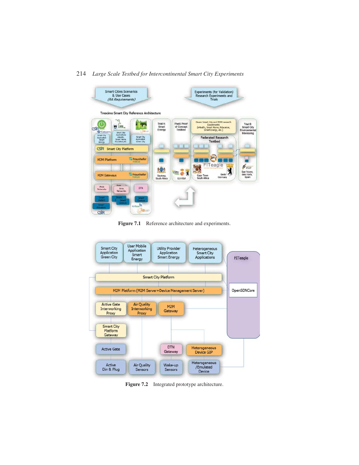

Figure 7.1 Reference architecture and experiments.



**Figure 7.2** Integrated prototype architecture.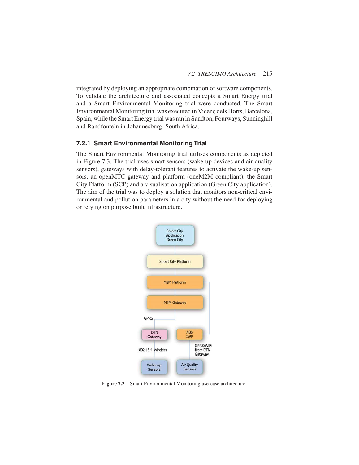integrated by deploying an appropriate combination of software components. To validate the architecture and associated concepts a Smart Energy trial and a Smart Environmental Monitoring trial were conducted. The Smart Environmental Monitoring trial was executed in Vicenç dels Horts, Barcelona, Spain, while the Smart Energy trial was ran in Sandton, Fourways, Sunninghill and Randfontein in Johannesburg, South Africa.

## **7.2.1 Smart Environmental Monitoring Trial**

The Smart Environmental Monitoring trial utilises components as depicted in Figure 7.3. The trial uses smart sensors (wake-up devices and air quality sensors), gateways with delay-tolerant features to activate the wake-up sensors, an openMTC gateway and platform (oneM2M compliant), the Smart City Platform (SCP) and a visualisation application (Green City application). The aim of the trial was to deploy a solution that monitors non-critical environmental and pollution parameters in a city without the need for deploying or relying on purpose built infrastructure.



**Figure 7.3** Smart Environmental Monitoring use-case architecture.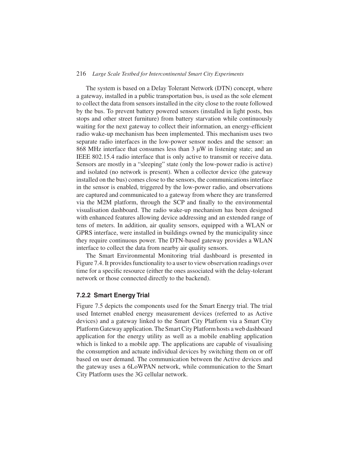The system is based on a Delay Tolerant Network (DTN) concept, where a gateway, installed in a public transportation bus, is used as the sole element to collect the data from sensors installed in the city close to the route followed by the bus. To prevent battery powered sensors (installed in light posts, bus stops and other street furniture) from battery starvation while continuously waiting for the next gateway to collect their information, an energy-efficient radio wake-up mechanism has been implemented. This mechanism uses two separate radio interfaces in the low-power sensor nodes and the sensor: an 868 MHz interface that consumes less than 3 μW in listening state; and an IEEE 802.15.4 radio interface that is only active to transmit or receive data. Sensors are mostly in a "sleeping" state (only the low-power radio is active) and isolated (no network is present). When a collector device (the gateway installed on the bus) comes close to the sensors, the communications interface in the sensor is enabled, triggered by the low-power radio, and observations are captured and communicated to a gateway from where they are transferred via the M2M platform, through the SCP and finally to the environmental visualisation dashboard. The radio wake-up mechanism has been designed with enhanced features allowing device addressing and an extended range of tens of meters. In addition, air quality sensors, equipped with a WLAN or GPRS interface, were installed in buildings owned by the municipality since they require continuous power. The DTN-based gateway provides a WLAN interface to collect the data from nearby air quality sensors.

The Smart Environmental Monitoring trial dashboard is presented in Figure 7.4. It provides functionality to a user to view observation readings over time for a specific resource (either the ones associated with the delay-tolerant network or those connected directly to the backend).

### **7.2.2 Smart Energy Trial**

Figure 7.5 depicts the components used for the Smart Energy trial. The trial used Internet enabled energy measurement devices (referred to as Active devices) and a gateway linked to the Smart City Platform via a Smart City Platform Gateway application. The Smart City Platform hosts a web dashboard application for the energy utility as well as a mobile enabling application which is linked to a mobile app. The applications are capable of visualising the consumption and actuate individual devices by switching them on or off based on user demand. The communication between the Active devices and the gateway uses a 6LoWPAN network, while communication to the Smart City Platform uses the 3G cellular network.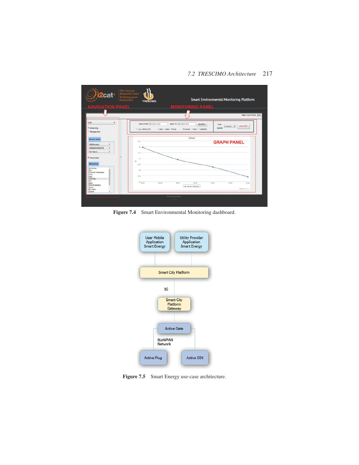## *7.2 TRESCIMO Architecture* 217



**Figure 7.4** Smart Environmental Monitoring dashboard.



Figure 7.5 Smart Energy use-case architecture.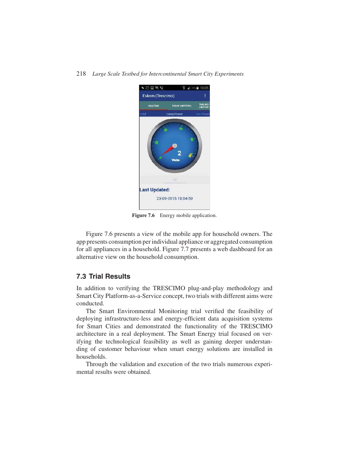

**Figure 7.6** Energy mobile application.

Figure 7.6 presents a view of the mobile app for household owners. The app presents consumption per individual appliance or aggregated consumption for all appliances in a household. Figure 7.7 presents a web dashboard for an alternative view on the household consumption.

## **7.3 Trial Results**

In addition to verifying the TRESCIMO plug-and-play methodology and Smart City Platform-as-a-Service concept, two trials with different aims were conducted.

The Smart Environmental Monitoring trial verified the feasibility of deploying infrastructure-less and energy-efficient data acquisition systems for Smart Cities and demonstrated the functionality of the TRESCIMO architecture in a real deployment. The Smart Energy trial focused on verifying the technological feasibility as well as gaining deeper understanding of customer behaviour when smart energy solutions are installed in households.

Through the validation and execution of the two trials numerous experimental results were obtained.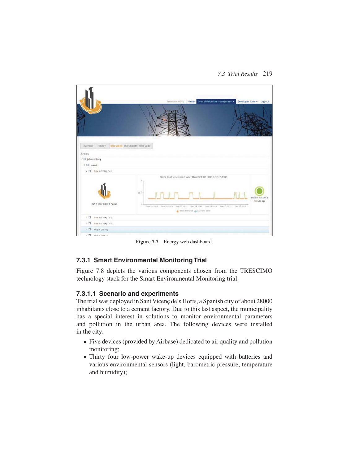### *7.3 Trial Results* 219



Figure 7.7 Energy web dashboard.

## **7.3.1 Smart Environmental Monitoring Trial**

Figure 7.8 depicts the various components chosen from the TRESCIMO technology stack for the Smart Environmental Monitoring trial.

## **7.3.1.1 Scenario and experiments**

The trial was deployed in Sant Vicenç dels Horts, a Spanish city of about 28000 inhabitants close to a cement factory. Due to this last aspect, the municipality has a special interest in solutions to monitor environmental parameters and pollution in the urban area. The following devices were installed in the city:

- Five devices (provided by Airbase) dedicated to air quality and pollution monitoring;
- Thirty four low-power wake-up devices equipped with batteries and various environmental sensors (light, barometric pressure, temperature and humidity);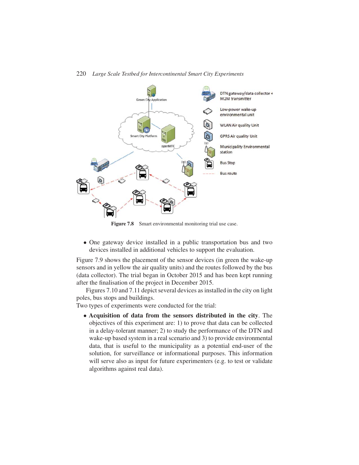

Figure 7.8 Smart environmental monitoring trial use case.

• One gateway device installed in a public transportation bus and two devices installed in additional vehicles to support the evaluation.

Figure 7.9 shows the placement of the sensor devices (in green the wake-up sensors and in yellow the air quality units) and the routes followed by the bus (data collector). The trial began in October 2015 and has been kept running after the finalisation of the project in December 2015.

Figures 7.10 and 7.11 depict several devices as installed in the city on light poles, bus stops and buildings.

Two types of experiments were conducted for the trial:

• **Acquisition of data from the sensors distributed in the city**. The objectives of this experiment are: 1) to prove that data can be collected in a delay-tolerant manner; 2) to study the performance of the DTN and wake-up based system in a real scenario and 3) to provide environmental data, that is useful to the municipality as a potential end-user of the solution, for surveillance or informational purposes. This information will serve also as input for future experimenters (e.g. to test or validate algorithms against real data).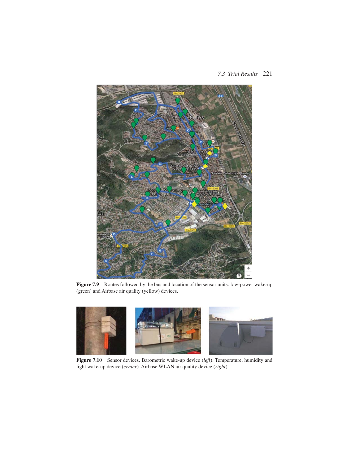*7.3 Trial Results* 221



Figure 7.9 Routes followed by the bus and location of the sensor units: low-power wake-up (green) and Airbase air quality (yellow) devices.



**Figure 7.10** Sensor devices. Barometric wake-up device (*left*). Temperature, humidity and light wake-up device (*center*). Airbase WLAN air quality device (*right*).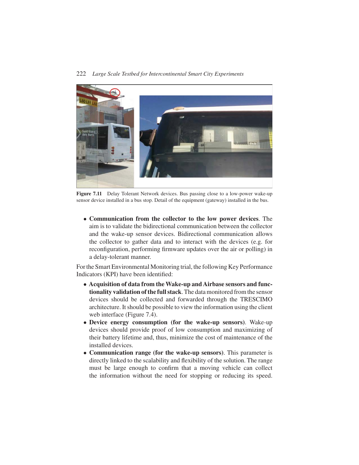

**Figure 7.11** Delay Tolerant Network devices. Bus passing close to a low-power wake-up sensor device installed in a bus stop. Detail of the equipment (gateway) installed in the bus.

• **Communication from the collector to the low power devices**. The aim is to validate the bidirectional communication between the collector and the wake-up sensor devices. Bidirectional communication allows the collector to gather data and to interact with the devices (e.g. for reconfiguration, performing firmware updates over the air or polling) in a delay-tolerant manner.

For the Smart Environmental Monitoring trial, the following Key Performance Indicators (KPI) have been identified:

- **Acquisition of data from the Wake-up and Airbase sensors and functionality validation of the full stack**. The data monitored from the sensor devices should be collected and forwarded through the TRESCIMO architecture. It should be possible to view the information using the client web interface (Figure 7.4).
- **Device energy consumption (for the wake-up sensors)**. Wake-up devices should provide proof of low consumption and maximizing of their battery lifetime and, thus, minimize the cost of maintenance of the installed devices.
- **Communication range (for the wake-up sensors)**. This parameter is directly linked to the scalability and flexibility of the solution. The range must be large enough to confirm that a moving vehicle can collect the information without the need for stopping or reducing its speed.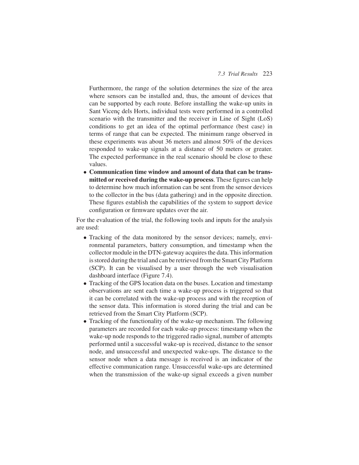Furthermore, the range of the solution determines the size of the area where sensors can be installed and, thus, the amount of devices that can be supported by each route. Before installing the wake-up units in Sant Vicenç dels Horts, individual tests were performed in a controlled scenario with the transmitter and the receiver in Line of Sight (LoS) conditions to get an idea of the optimal performance (best case) in terms of range that can be expected. The minimum range observed in these experiments was about 36 meters and almost 50% of the devices responded to wake-up signals at a distance of 50 meters or greater. The expected performance in the real scenario should be close to these values.

• **Communication time window and amount of data that can be transmitted or received during the wake-up process**. These figures can help to determine how much information can be sent from the sensor devices to the collector in the bus (data gathering) and in the opposite direction. These figures establish the capabilities of the system to support device configuration or firmware updates over the air.

For the evaluation of the trial, the following tools and inputs for the analysis are used:

- Tracking of the data monitored by the sensor devices; namely, environmental parameters, battery consumption, and timestamp when the collector module in the DTN-gateway acquires the data. This information is stored during the trial and can be retrieved from the Smart City Platform (SCP). It can be visualised by a user through the web visualisation dashboard interface (Figure 7.4).
- Tracking of the GPS location data on the buses. Location and timestamp observations are sent each time a wake-up process is triggered so that it can be correlated with the wake-up process and with the reception of the sensor data. This information is stored during the trial and can be retrieved from the Smart City Platform (SCP).
- Tracking of the functionality of the wake-up mechanism. The following parameters are recorded for each wake-up process: timestamp when the wake-up node responds to the triggered radio signal, number of attempts performed until a successful wake-up is received, distance to the sensor node, and unsuccessful and unexpected wake-ups. The distance to the sensor node when a data message is received is an indicator of the effective communication range. Unsuccessful wake-ups are determined when the transmission of the wake-up signal exceeds a given number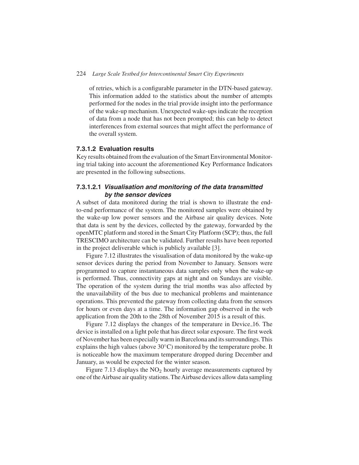of retries, which is a configurable parameter in the DTN-based gateway. This information added to the statistics about the number of attempts performed for the nodes in the trial provide insight into the performance of the wake-up mechanism. Unexpected wake-ups indicate the reception of data from a node that has not been prompted; this can help to detect interferences from external sources that might affect the performance of the overall system.

#### **7.3.1.2 Evaluation results**

Key results obtained from the evaluation of the Smart Environmental Monitoring trial taking into account the aforementioned Key Performance Indicators are presented in the following subsections.

## **7.3.1.2.1** *Visualisation and monitoring of the data transmitted by the sensor devices*

A subset of data monitored during the trial is shown to illustrate the endto-end performance of the system. The monitored samples were obtained by the wake-up low power sensors and the Airbase air quality devices. Note that data is sent by the devices, collected by the gateway, forwarded by the openMTC platform and stored in the Smart City Platform (SCP); thus, the full TRESCIMO architecture can be validated. Further results have been reported in the project deliverable which is publicly available [3].

Figure 7.12 illustrates the visualisation of data monitored by the wake-up sensor devices during the period from November to January. Sensors were programmed to capture instantaneous data samples only when the wake-up is performed. Thus, connectivity gaps at night and on Sundays are visible. The operation of the system during the trial months was also affected by the unavailability of the bus due to mechanical problems and maintenance operations. This prevented the gateway from collecting data from the sensors for hours or even days at a time. The information gap observed in the web application from the 20th to the 28th of November 2015 is a result of this.

Figure 7.12 displays the changes of the temperature in Device 16. The device is installed on a light pole that has direct solar exposure. The first week of November has been especially warm in Barcelona and its surroundings. This explains the high values (above  $30^{\circ}$ C) monitored by the temperature probe. It is noticeable how the maximum temperature dropped during December and January, as would be expected for the winter season.

Figure 7.13 displays the  $NO<sub>2</sub>$  hourly average measurements captured by one of theAirbase air quality stations. TheAirbase devices allow data sampling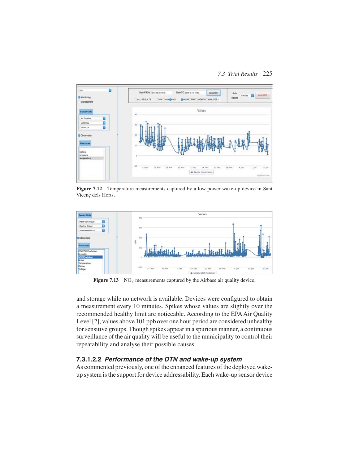*7.3 Trial Results* 225



Figure 7.12 Temperature measurements captured by a low power wake-up device in Sant Vicenç dels Horts.



Figure 7.13 NO<sub>2</sub> measurements captured by the Airbase air quality device.

and storage while no network is available. Devices were configured to obtain a measurement every 10 minutes. Spikes whose values are slightly over the recommended healthy limit are noticeable. According to the EPA Air Quality Level [2], values above 101 ppb over one hour period are considered unhealthy for sensitive groups. Though spikes appear in a spurious manner, a continuous surveillance of the air quality will be useful to the municipality to control their repeatability and analyse their possible causes.

## **7.3.1.2.2** *Performance of the DTN and wake-up system*

As commented previously, one of the enhanced features of the deployed wakeup system is the support for device addressability. Each wake-up sensor device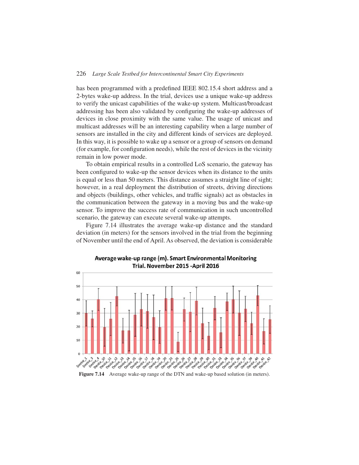has been programmed with a predefined IEEE 802.15.4 short address and a 2-bytes wake-up address. In the trial, devices use a unique wake-up address to verify the unicast capabilities of the wake-up system. Multicast/broadcast addressing has been also validated by configuring the wake-up addresses of devices in close proximity with the same value. The usage of unicast and multicast addresses will be an interesting capability when a large number of sensors are installed in the city and different kinds of services are deployed. In this way, it is possible to wake up a sensor or a group of sensors on demand (for example, for configuration needs), while the rest of devices in the vicinity remain in low power mode.

To obtain empirical results in a controlled LoS scenario, the gateway has been configured to wake-up the sensor devices when its distance to the units is equal or less than 50 meters. This distance assumes a straight line of sight; however, in a real deployment the distribution of streets, driving directions and objects (buildings, other vehicles, and traffic signals) act as obstacles in the communication between the gateway in a moving bus and the wake-up sensor. To improve the success rate of communication in such uncontrolled scenario, the gateway can execute several wake-up attempts.

Figure 7.14 illustrates the average wake-up distance and the standard deviation (in meters) for the sensors involved in the trial from the beginning of November until the end of April. As observed, the deviation is considerable



## Average wake-up range (m). Smart Environmental Monitoring Trial. November 2015 - April 2016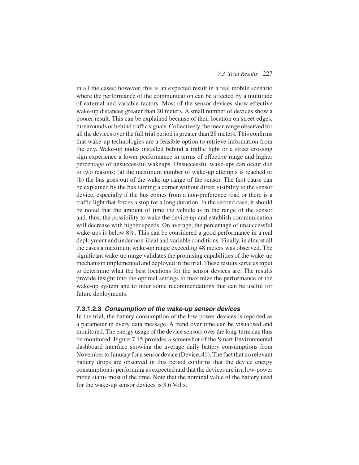in all the cases; however, this is an expected result in a real mobile scenario where the performance of the communication can be affected by a multitude of external and variable factors. Most of the sensor devices show effective wake-up distances greater than 20 meters. A small number of devices show a poorer result. This can be explained because of their location on street edges, turnarounds or behind traffic signals. Collectively, the mean range observed for all the devices over the full trial period is greater than 28 meters. This confirms that wake-up technologies are a feasible option to retrieve information from the city. Wake-up nodes installed behind a traffic light or a street crossing sign experience a lower performance in terms of effective range and higher percentage of unsuccessful wakeups. Unsuccessful wake-ups can occur due to two reasons: (a) the maximum number of wake-up attempts is reached or (b) the bus goes out of the wake-up range of the sensor. The first cause can be explained by the bus turning a corner without direct visibility to the sensor device, especially if the bus comes from a non-preference road or there is a traffic light that forces a stop for a long duration. In the second case, it should be noted that the amount of time the vehicle is in the range of the sensor and, thus, the possibility to wake the device up and establish communication will decrease with higher speeds. On average, the percentage of unsuccessful wake-ups is below 8%. This can be considered a good performance in a real deployment and under non-ideal and variable conditions. Finally, in almost all the cases a maximum wake-up range exceeding 48 meters was observed. The significant wake-up range validates the promising capabilities of the wake-up mechanism implemented and deployed in the trial. These results serve as input to determine what the best locations for the sensor devices are. The results provide insight into the optimal settings to maximize the performance of the wake-up system and to infer some recommendations that can be useful for future deployments.

#### **7.3.1.2.3** *Consumption of the wake-up sensor devices*

In the trial, the battery consumption of the low-power devices is reported as a parameter in every data message. A trend over time can be visualised and monitored. The energy usage of the device sensors over the long-term can thus be monitored. Figure 7.15 provides a screenshot of the Smart Environmental dashboard interface showing the average daily battery consumptions from November to January for a sensor device (Device 41). The fact that no relevant battery drops are observed in this period confirms that the device energy consumption is performing as expected and that the devices are in a low-power mode status most of the time. Note that the nominal value of the battery used for the wake-up sensor devices is 3.6 Volts.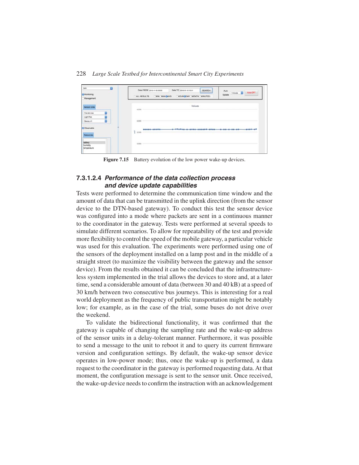

**Figure 7.15** Battery evolution of the low power wake-up devices.

## **7.3.1.2.4** *Performance of the data collection process and device update capabilities*

Tests were performed to determine the communication time window and the amount of data that can be transmitted in the uplink direction (from the sensor device to the DTN-based gateway). To conduct this test the sensor device was configured into a mode where packets are sent in a continuous manner to the coordinator in the gateway. Tests were performed at several speeds to simulate different scenarios. To allow for repeatability of the test and provide more flexibility to control the speed of the mobile gateway, a particular vehicle was used for this evaluation. The experiments were performed using one of the sensors of the deployment installed on a lamp post and in the middle of a straight street (to maximize the visibility between the gateway and the sensor device). From the results obtained it can be concluded that the infrastructureless system implemented in the trial allows the devices to store and, at a later time, send a considerable amount of data (between 30 and 40 kB) at a speed of 30 km/h between two consecutive bus journeys. This is interesting for a real world deployment as the frequency of public transportation might be notably low; for example, as in the case of the trial, some buses do not drive over the weekend.

To validate the bidirectional functionality, it was confirmed that the gateway is capable of changing the sampling rate and the wake-up address of the sensor units in a delay-tolerant manner. Furthermore, it was possible to send a message to the unit to reboot it and to query its current firmware version and configuration settings. By default, the wake-up sensor device operates in low-power mode; thus, once the wake-up is performed, a data request to the coordinator in the gateway is performed requesting data. At that moment, the configuration message is sent to the sensor unit. Once received, the wake-up device needs to confirm the instruction with an acknowledgement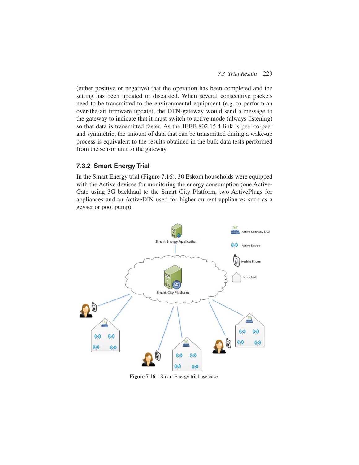(either positive or negative) that the operation has been completed and the setting has been updated or discarded. When several consecutive packets need to be transmitted to the environmental equipment (e.g. to perform an over-the-air firmware update), the DTN-gateway would send a message to the gateway to indicate that it must switch to active mode (always listening) so that data is transmitted faster. As the IEEE 802.15.4 link is peer-to-peer and symmetric, the amount of data that can be transmitted during a wake-up process is equivalent to the results obtained in the bulk data tests performed from the sensor unit to the gateway.

## **7.3.2 Smart Energy Trial**

In the Smart Energy trial (Figure 7.16), 30 Eskom households were equipped with the Active devices for monitoring the energy consumption (one Active-Gate using 3G backhaul to the Smart City Platform, two ActivePlugs for appliances and an ActiveDIN used for higher current appliances such as a geyser or pool pump).



Figure 7.16 Smart Energy trial use case.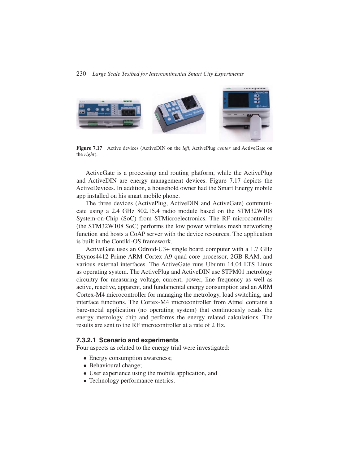

**Figure 7.17** Active devices (ActiveDIN on the *left*, ActivePlug *center* and ActiveGate on the *right*).

ActiveGate is a processing and routing platform, while the ActivePlug and ActiveDIN are energy management devices. Figure 7.17 depicts the ActiveDevices. In addition, a household owner had the Smart Energy mobile app installed on his smart mobile phone.

The three devices (ActivePlug, ActiveDIN and ActiveGate) communicate using a 2.4 GHz 802.15.4 radio module based on the STM32W108 System-on-Chip (SoC) from STMicroelectronics. The RF microcontroller (the STM32W108 SoC) performs the low power wireless mesh networking function and hosts a CoAP server with the device resources. The application is built in the Contiki-OS framework.

ActiveGate uses an Odroid-U3+ single board computer with a 1.7 GHz Exynos4412 Prime ARM Cortex-A9 quad-core processor, 2GB RAM, and various external interfaces. The ActiveGate runs Ubuntu 14.04 LTS Linux as operating system. The ActivePlug and ActiveDIN use STPM01 metrology circuitry for measuring voltage, current, power, line frequency as well as active, reactive, apparent, and fundamental energy consumption and an ARM Cortex-M4 microcontroller for managing the metrology, load switching, and interface functions. The Cortex-M4 microcontroller from Atmel contains a bare-metal application (no operating system) that continuously reads the energy metrology chip and performs the energy related calculations. The results are sent to the RF microcontroller at a rate of 2 Hz.

## **7.3.2.1 Scenario and experiments**

Four aspects as related to the energy trial were investigated:

- Energy consumption awareness;
- Behavioural change;
- User experience using the mobile application, and
- Technology performance metrics.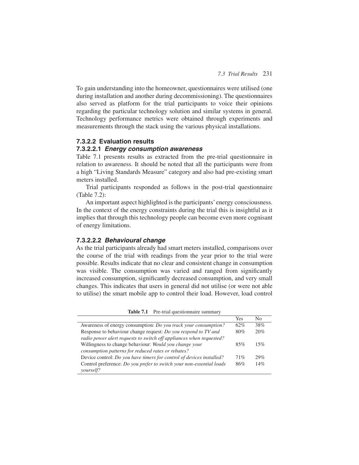To gain understanding into the homeowner, questionnaires were utilised (one during installation and another during decommissioning). The questionnaires also served as platform for the trial participants to voice their opinions regarding the particular technology solution and similar systems in general. Technology performance metrics were obtained through experiments and measurements through the stack using the various physical installations.

#### **7.3.2.2 Evaluation results**

#### **7.3.2.2.1** *Energy consumption awareness*

Table 7.1 presents results as extracted from the pre-trial questionnaire in relation to awareness. It should be noted that all the participants were from a high "Living Standards Measure" category and also had pre-existing smart meters installed.

Trial participants responded as follows in the post-trial questionnaire (Table 7.2):

An important aspect highlighted is the participants' energy consciousness. In the context of the energy constraints during the trial this is insightful as it implies that through this technology people can become even more cognisant of energy limitations.

## **7.3.2.2.2** *Behavioural change*

As the trial participants already had smart meters installed, comparisons over the course of the trial with readings from the year prior to the trial were possible. Results indicate that no clear and consistent change in consumption was visible. The consumption was varied and ranged from significantly increased consumption, significantly decreased consumption, and very small changes. This indicates that users in general did not utilise (or were not able to utilise) the smart mobile app to control their load. However, load control

| Table 7.1 Pre-trial questionnaire summary |  |
|-------------------------------------------|--|
|                                           |  |

|                                                                      | Yes | No  |
|----------------------------------------------------------------------|-----|-----|
| Awareness of energy consumption: Do you track your consumption?      | 62% | 38% |
| Response to behaviour change request: Do you respond to TV and       | 80% | 20% |
| radio power alert requests to switch off appliances when requested?  |     |     |
| Willingness to change behaviour: Would you change your               | 85% | 15% |
| consumption patterns for reduced rates or rebates?                   |     |     |
| Device control: Do you have timers for control of devices installed? | 71% | 29% |
| Control preference: Do you prefer to switch your non-essential loads | 86% | 14% |
| <i>vourself?</i>                                                     |     |     |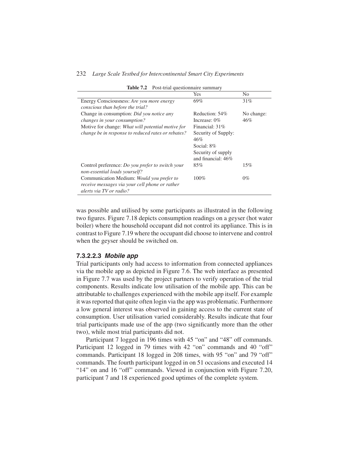|                                                                                                                        | Yes                                                                                                     | N <sub>0</sub>    |
|------------------------------------------------------------------------------------------------------------------------|---------------------------------------------------------------------------------------------------------|-------------------|
| Energy Consciousness: Are you more energy<br>conscious than before the trial?                                          | 69%                                                                                                     | 31%               |
| Change in consumption: Did you notice any<br>changes in your consumption?                                              | Reduction: 54%<br>Increase: 0%                                                                          | No change:<br>46% |
| Motive for change: What will potential motive for<br>change be in response to reduced rates or rebates?                | Financial: 31\%<br>Security of Supply:<br>46%<br>Social: 8%<br>Security of supply<br>and financial: 46% |                   |
| Control preference: Do you prefer to switch your<br>non-essential loads yourself?                                      | 85%                                                                                                     | 15%               |
| Communication Medium: Would you prefer to<br>receive messages via your cell phone or rather<br>alerts via TV or radio? | $100\%$                                                                                                 | $0\%$             |

**Table 7.2** Post-trial questionnaire summary

was possible and utilised by some participants as illustrated in the following two figures. Figure 7.18 depicts consumption readings on a geyser (hot water boiler) where the household occupant did not control its appliance. This is in contrast to Figure 7.19 where the occupant did choose to intervene and control when the geyser should be switched on.

#### **7.3.2.2.3** *Mobile app*

Trial participants only had access to information from connected appliances via the mobile app as depicted in Figure 7.6. The web interface as presented in Figure 7.7 was used by the project partners to verify operation of the trial components. Results indicate low utilisation of the mobile app. This can be attributable to challenges experienced with the mobile app itself. For example it was reported that quite often login via the app was problematic. Furthermore a low general interest was observed in gaining access to the current state of consumption. User utilisation varied considerably. Results indicate that four trial participants made use of the app (two significantly more than the other two), while most trial participants did not.

Participant 7 logged in 196 times with 45 "on" and "48" off commands. Participant 12 logged in 79 times with 42 "on" commands and 40 "off" commands. Participant 18 logged in 208 times, with 95 "on" and 79 "off" commands. The fourth participant logged in on 51 occasions and executed 14 "14" on and 16 "off" commands. Viewed in conjunction with Figure 7.20, participant 7 and 18 experienced good uptimes of the complete system.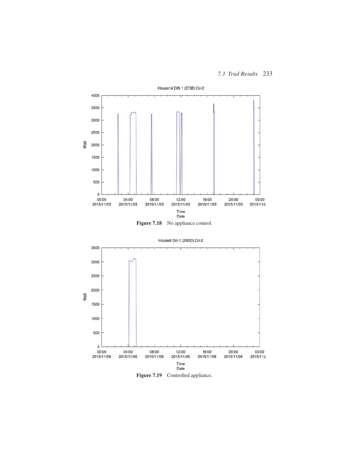





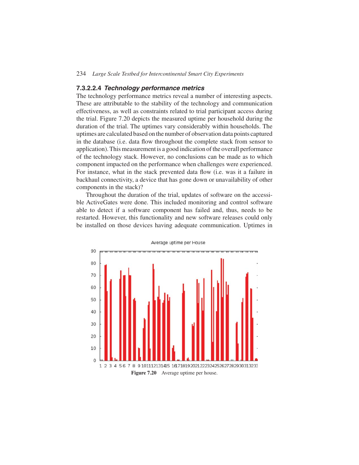#### **7.3.2.2.4** *Technology performance metrics*

The technology performance metrics reveal a number of interesting aspects. These are attributable to the stability of the technology and communication effectiveness, as well as constraints related to trial participant access during the trial. Figure 7.20 depicts the measured uptime per household during the duration of the trial. The uptimes vary considerably within households. The uptimes are calculated based on the number of observation data points captured in the database (i.e. data flow throughout the complete stack from sensor to application). This measurement is a good indication of the overall performance of the technology stack. However, no conclusions can be made as to which component impacted on the performance when challenges were experienced. For instance, what in the stack prevented data flow (i.e. was it a failure in backhaul connectivity, a device that has gone down or unavailability of other components in the stack)?

Throughout the duration of the trial, updates of software on the accessible ActiveGates were done. This included monitoring and control software able to detect if a software component has failed and, thus, needs to be restarted. However, this functionality and new software releases could only be installed on those devices having adequate communication. Uptimes in

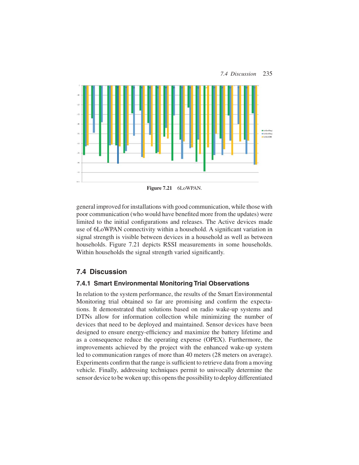

**Figure 7.21** 6LoWPAN.

general improved for installations with good communication, while those with poor communication (who would have benefited more from the updates) were limited to the initial configurations and releases. The Active devices made use of 6LoWPAN connectivity within a household. A significant variation in signal strength is visible between devices in a household as well as between households. Figure 7.21 depicts RSSI measurements in some households. Within households the signal strength varied significantly.

## **7.4 Discussion**

#### **7.4.1 Smart Environmental Monitoring Trial Observations**

In relation to the system performance, the results of the Smart Environmental Monitoring trial obtained so far are promising and confirm the expectations. It demonstrated that solutions based on radio wake-up systems and DTNs allow for information collection while minimizing the number of devices that need to be deployed and maintained. Sensor devices have been designed to ensure energy-efficiency and maximize the battery lifetime and as a consequence reduce the operating expense (OPEX). Furthermore, the improvements achieved by the project with the enhanced wake-up system led to communication ranges of more than 40 meters (28 meters on average). Experiments confirm that the range is sufficient to retrieve data from a moving vehicle. Finally, addressing techniques permit to univocally determine the sensor device to be woken up; this opens the possibility to deploy differentiated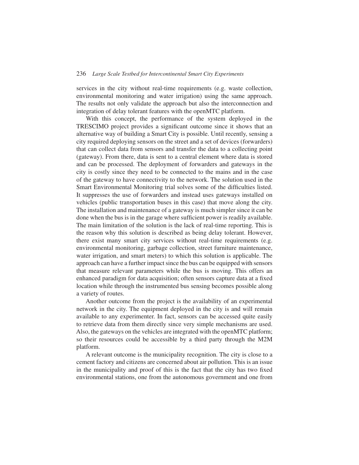services in the city without real-time requirements (e.g. waste collection, environmental monitoring and water irrigation) using the same approach. The results not only validate the approach but also the interconnection and integration of delay tolerant features with the openMTC platform.

With this concept, the performance of the system deployed in the TRESCIMO project provides a significant outcome since it shows that an alternative way of building a Smart City is possible. Until recently, sensing a city required deploying sensors on the street and a set of devices (forwarders) that can collect data from sensors and transfer the data to a collecting point (gateway). From there, data is sent to a central element where data is stored and can be processed. The deployment of forwarders and gateways in the city is costly since they need to be connected to the mains and in the case of the gateway to have connectivity to the network. The solution used in the Smart Environmental Monitoring trial solves some of the difficulties listed. It suppresses the use of forwarders and instead uses gateways installed on vehicles (public transportation buses in this case) that move along the city. The installation and maintenance of a gateway is much simpler since it can be done when the bus is in the garage where sufficient power is readily available. The main limitation of the solution is the lack of real-time reporting. This is the reason why this solution is described as being delay tolerant. However, there exist many smart city services without real-time requirements (e.g. environmental monitoring, garbage collection, street furniture maintenance, water irrigation, and smart meters) to which this solution is applicable. The approach can have a further impact since the bus can be equipped with sensors that measure relevant parameters while the bus is moving. This offers an enhanced paradigm for data acquisition; often sensors capture data at a fixed location while through the instrumented bus sensing becomes possible along a variety of routes.

Another outcome from the project is the availability of an experimental network in the city. The equipment deployed in the city is and will remain available to any experimenter. In fact, sensors can be accessed quite easily to retrieve data from them directly since very simple mechanisms are used. Also, the gateways on the vehicles are integrated with the openMTC platform; so their resources could be accessible by a third party through the M2M platform.

A relevant outcome is the municipality recognition. The city is close to a cement factory and citizens are concerned about air pollution. This is an issue in the municipality and proof of this is the fact that the city has two fixed environmental stations, one from the autonomous government and one from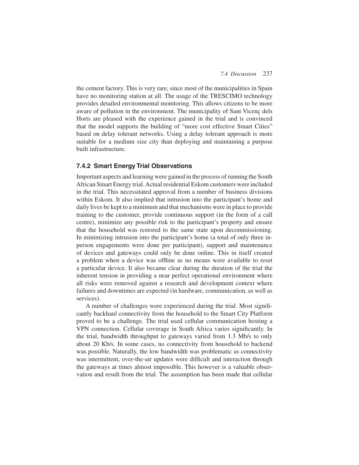the cement factory. This is very rare, since most of the municipalities in Spain have no monitoring station at all. The usage of the TRESCIMO technology provides detailed environmental monitoring. This allows citizens to be more aware of pollution in the environment. The municipality of Sant Vicenç dels Horts are pleased with the experience gained in the trial and is convinced that the model supports the building of "more cost effective Smart Cities" based on delay tolerant networks. Using a delay tolerant approach is more suitable for a medium size city than deploying and maintaining a purpose built infrastructure.

## **7.4.2 Smart Energy Trial Observations**

Important aspects and learning were gained in the process of running the South African Smart Energy trial.Actual residential Eskom customers were included in the trial. This necessitated approval from a number of business divisions within Eskom. It also implied that intrusion into the participant's home and daily lives be kept to a minimum and that mechanisms were in place to provide training to the customer, provide continuous support (in the form of a call centre), minimize any possible risk to the participant's property and ensure that the household was restored to the same state upon decommissioning. In minimizing intrusion into the participant's home (a total of only three inperson engagements were done per participant), support and maintenance of devices and gateways could only be done online. This in itself created a problem when a device was offline as no means were available to reset a particular device. It also became clear during the duration of the trial the inherent tension in providing a near perfect operational environment where all risks were removed against a research and development context where failures and downtimes are expected (in hardware, communication, as well as services).

A number of challenges were experienced during the trial. Most significantly backhaul connectivity from the household to the Smart City Platform proved to be a challenge. The trial used cellular communication hosting a VPN connection. Cellular coverage in South Africa varies significantly. In the trial, bandwidth throughput to gateways varied from 1.3 Mb/s to only about 20 Kb/s. In some cases, no connectivity from household to backend was possible. Naturally, the low bandwidth was problematic as connectivity was intermittent, over-the-air updates were difficult and interaction through the gateways at times almost impossible. This however is a valuable observation and result from the trial. The assumption has been made that cellular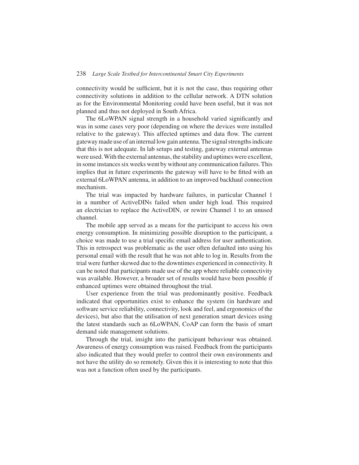connectivity would be sufficient, but it is not the case, thus requiring other connectivity solutions in addition to the cellular network. A DTN solution as for the Environmental Monitoring could have been useful, but it was not planned and thus not deployed in South Africa.

The 6LoWPAN signal strength in a household varied significantly and was in some cases very poor (depending on where the devices were installed relative to the gateway). This affected uptimes and data flow. The current gateway made use of an internal low gain antenna. The signal strengths indicate that this is not adequate. In lab setups and testing, gateway external antennas were used.With the external antennas, the stability and uptimes were excellent, in some instances six weeks went by without any communication failures. This implies that in future experiments the gateway will have to be fitted with an external 6LoWPAN antenna, in addition to an improved backhaul connection mechanism.

The trial was impacted by hardware failures, in particular Channel 1 in a number of ActiveDINs failed when under high load. This required an electrician to replace the ActiveDIN, or rewire Channel 1 to an unused channel.

The mobile app served as a means for the participant to access his own energy consumption. In minimizing possible disruption to the participant, a choice was made to use a trial specific email address for user authentication. This in retrospect was problematic as the user often defaulted into using his personal email with the result that he was not able to log in. Results from the trial were further skewed due to the downtimes experienced in connectivity. It can be noted that participants made use of the app where reliable connectivity was available. However, a broader set of results would have been possible if enhanced uptimes were obtained throughout the trial.

User experience from the trial was predominantly positive. Feedback indicated that opportunities exist to enhance the system (in hardware and software service reliability, connectivity, look and feel, and ergonomics of the devices), but also that the utilisation of next generation smart devices using the latest standards such as 6LoWPAN, CoAP can form the basis of smart demand side management solutions.

Through the trial, insight into the participant behaviour was obtained. Awareness of energy consumption was raised. Feedback from the participants also indicated that they would prefer to control their own environments and not have the utility do so remotely. Given this it is interesting to note that this was not a function often used by the participants.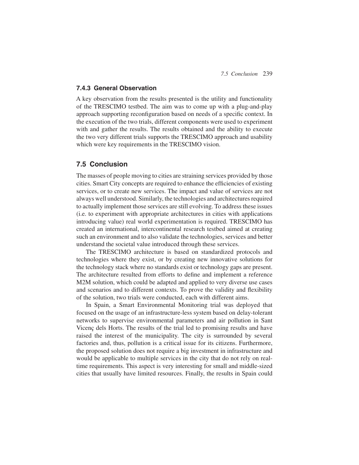#### **7.4.3 General Observation**

A key observation from the results presented is the utility and functionality of the TRESCIMO testbed. The aim was to come up with a plug-and-play approach supporting reconfiguration based on needs of a specific context. In the execution of the two trials, different components were used to experiment with and gather the results. The results obtained and the ability to execute the two very different trials supports the TRESCIMO approach and usability which were key requirements in the TRESCIMO vision.

## **7.5 Conclusion**

The masses of people moving to cities are straining services provided by those cities. Smart City concepts are required to enhance the efficiencies of existing services, or to create new services. The impact and value of services are not always well understood. Similarly, the technologies and architectures required to actually implement those services are still evolving. To address these issues (i.e. to experiment with appropriate architectures in cities with applications introducing value) real world experimentation is required. TRESCIMO has created an international, intercontinental research testbed aimed at creating such an environment and to also validate the technologies, services and better understand the societal value introduced through these services.

The TRESCIMO architecture is based on standardized protocols and technologies where they exist, or by creating new innovative solutions for the technology stack where no standards exist or technology gaps are present. The architecture resulted from efforts to define and implement a reference M2M solution, which could be adapted and applied to very diverse use cases and scenarios and to different contexts. To prove the validity and flexibility of the solution, two trials were conducted, each with different aims.

In Spain, a Smart Environmental Monitoring trial was deployed that focused on the usage of an infrastructure-less system based on delay-tolerant networks to supervise environmental parameters and air pollution in Sant Vicenç dels Horts. The results of the trial led to promising results and have raised the interest of the municipality. The city is surrounded by several factories and, thus, pollution is a critical issue for its citizens. Furthermore, the proposed solution does not require a big investment in infrastructure and would be applicable to multiple services in the city that do not rely on realtime requirements. This aspect is very interesting for small and middle-sized cities that usually have limited resources. Finally, the results in Spain could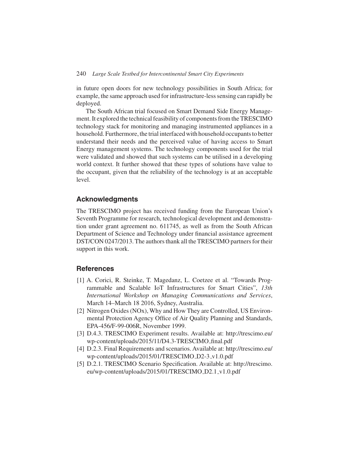in future open doors for new technology possibilities in South Africa; for example, the same approach used for infrastructure-less sensing can rapidly be deployed.

The South African trial focused on Smart Demand Side Energy Management. It explored the technical feasibility of components from the TRESCIMO technology stack for monitoring and managing instrumented appliances in a household. Furthermore, the trial interfaced with household occupants to better understand their needs and the perceived value of having access to Smart Energy management systems. The technology components used for the trial were validated and showed that such systems can be utilised in a developing world context. It further showed that these types of solutions have value to the occupant, given that the reliability of the technology is at an acceptable level.

## **Acknowledgments**

The TRESCIMO project has received funding from the European Union's Seventh Programme for research, technological development and demonstration under grant agreement no. 611745, as well as from the South African Department of Science and Technology under financial assistance agreement DST/CON 0247/2013. The authors thank all the TRESCIMO partners for their support in this work.

## **References**

- [1] A. Corici, R. Steinke, T. Magedanz, L. Coetzee et al. "Towards Programmable and Scalable IoT Infrastructures for Smart Cities", *13th International Workshop on Managing Communications and Services*, March 14–March 18 2016, Sydney, Australia.
- [2] Nitrogen Oxides (NOx), Why and How They are Controlled, US Environmental Protection Agency Office of Air Quality Planning and Standards, EPA-456/F-99-006R, November 1999.
- [3] D.4.3. TRESCIMO Experiment results. Available at: http://trescimo.eu/ wp-content/uploads/2015/11/D4.3-TRESCIMO\_final.pdf
- [4] D.2.3. Final Requirements and scenarios. Available at: http://trescimo.eu/ wp-content/uploads/2015/01/TRESCIMO\_D2-3\_v1.0.pdf
- [5] D.2.1. TRESCIMO Scenario Specification. Available at: http://trescimo. eu/wp-content/uploads/2015/01/TRESCIMO\_D2.1\_v1.0.pdf